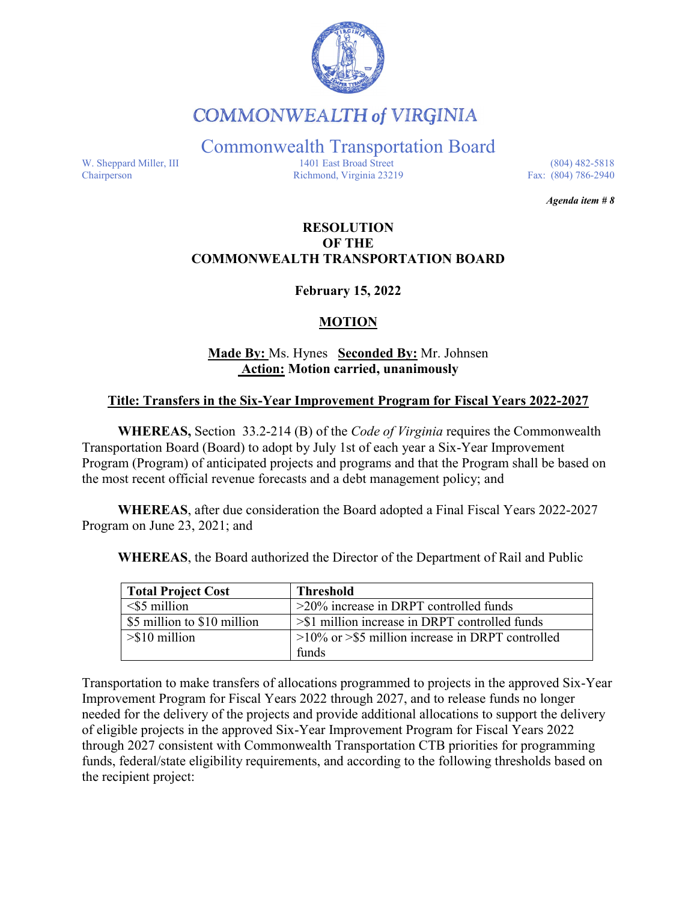

**COMMONWEALTH of VIRGINIA** 

Commonwealth Transportation Board

W. Sheppard Miller, III 1401 East Broad Street (804) 482-5818<br>Chairperson Richmond, Virginia 23219 Fax: (804) 786-2940 Richmond, Virginia 23219

*Agenda item # 8*

### **RESOLUTION OF THE COMMONWEALTH TRANSPORTATION BOARD**

**February 15, 2022** 

### **MOTION**

## **Made By:** Ms. Hynes **Seconded By:** Mr. Johnsen **Action: Motion carried, unanimously**

#### **Title: Transfers in the Six-Year Improvement Program for Fiscal Years 2022-2027**

**WHEREAS,** Section 33.2-214 (B) of the *Code of Virginia* requires the Commonwealth Transportation Board (Board) to adopt by July 1st of each year a Six-Year Improvement Program (Program) of anticipated projects and programs and that the Program shall be based on the most recent official revenue forecasts and a debt management policy; and

**WHEREAS**, after due consideration the Board adopted a Final Fiscal Years 2022-2027 Program on June 23, 2021; and

**WHEREAS**, the Board authorized the Director of the Department of Rail and Public

| <b>Total Project Cost</b>   | <b>Threshold</b>                                       |
|-----------------------------|--------------------------------------------------------|
| $<$ \$5 million             | $>20\%$ increase in DRPT controlled funds              |
| \$5 million to \$10 million | $\geq$ \$1 million increase in DRPT controlled funds   |
| $> $10$ million             | $>10\%$ or $>$ \$5 million increase in DRPT controlled |
|                             | funds                                                  |

Transportation to make transfers of allocations programmed to projects in the approved Six-Year Improvement Program for Fiscal Years 2022 through 2027, and to release funds no longer needed for the delivery of the projects and provide additional allocations to support the delivery of eligible projects in the approved Six-Year Improvement Program for Fiscal Years 2022 through 2027 consistent with Commonwealth Transportation CTB priorities for programming funds, federal/state eligibility requirements, and according to the following thresholds based on the recipient project: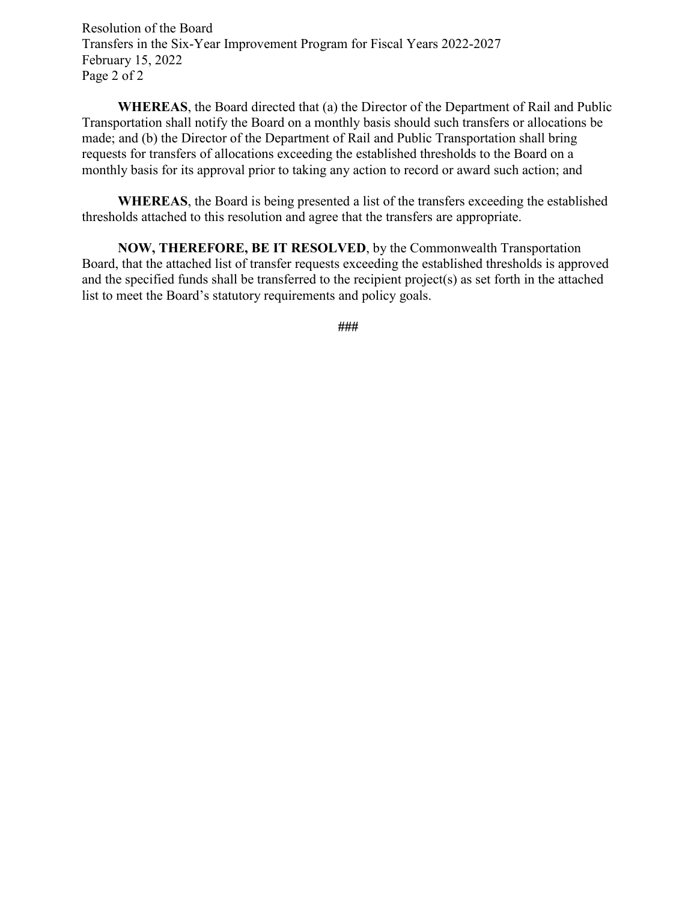Resolution of the Board Transfers in the Six-Year Improvement Program for Fiscal Years 2022-2027 February 15, 2022 Page 2 of 2

**WHEREAS**, the Board directed that (a) the Director of the Department of Rail and Public Transportation shall notify the Board on a monthly basis should such transfers or allocations be made; and (b) the Director of the Department of Rail and Public Transportation shall bring requests for transfers of allocations exceeding the established thresholds to the Board on a monthly basis for its approval prior to taking any action to record or award such action; and

**WHEREAS**, the Board is being presented a list of the transfers exceeding the established thresholds attached to this resolution and agree that the transfers are appropriate.

**NOW, THEREFORE, BE IT RESOLVED**, by the Commonwealth Transportation Board, that the attached list of transfer requests exceeding the established thresholds is approved and the specified funds shall be transferred to the recipient project(s) as set forth in the attached list to meet the Board's statutory requirements and policy goals.

**###**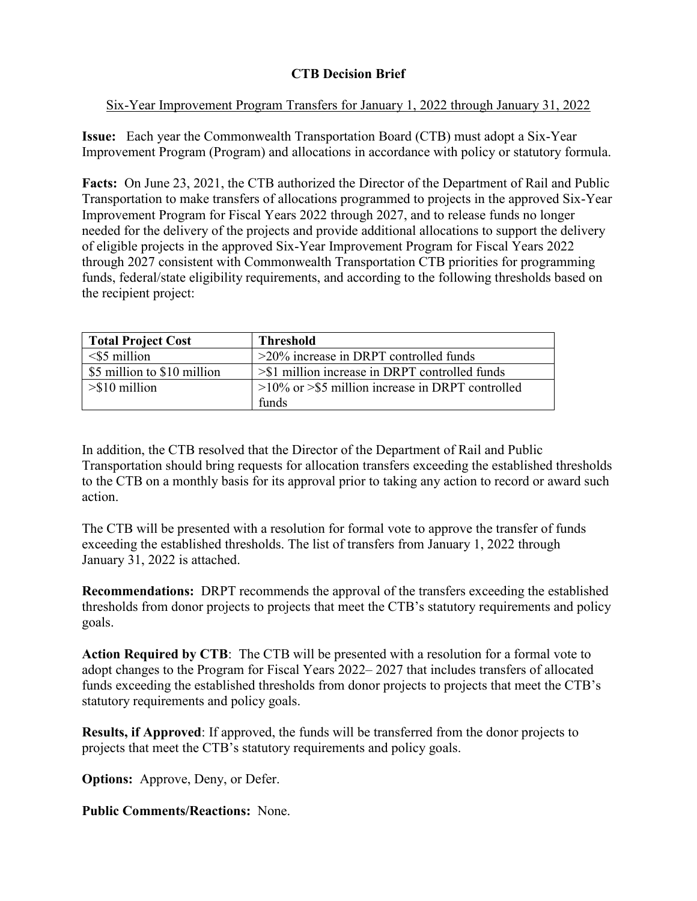# **CTB Decision Brief**

## Six-Year Improvement Program Transfers for January 1, 2022 through January 31, 2022

**Issue:** Each year the Commonwealth Transportation Board (CTB) must adopt a Six-Year Improvement Program (Program) and allocations in accordance with policy or statutory formula.

**Facts:** On June 23, 2021, the CTB authorized the Director of the Department of Rail and Public Transportation to make transfers of allocations programmed to projects in the approved Six-Year Improvement Program for Fiscal Years 2022 through 2027, and to release funds no longer needed for the delivery of the projects and provide additional allocations to support the delivery of eligible projects in the approved Six-Year Improvement Program for Fiscal Years 2022 through 2027 consistent with Commonwealth Transportation CTB priorities for programming funds, federal/state eligibility requirements, and according to the following thresholds based on the recipient project:

| <b>Total Project Cost</b>   | <b>Threshold</b>                                       |
|-----------------------------|--------------------------------------------------------|
| $<$ \$5 million             | $>20\%$ increase in DRPT controlled funds              |
| \$5 million to \$10 million | >\$1 million increase in DRPT controlled funds         |
| $>\frac{1}{2}$ 10 million   | $>10\%$ or $>$ \$5 million increase in DRPT controlled |
|                             | funds                                                  |

In addition, the CTB resolved that the Director of the Department of Rail and Public Transportation should bring requests for allocation transfers exceeding the established thresholds to the CTB on a monthly basis for its approval prior to taking any action to record or award such action.

The CTB will be presented with a resolution for formal vote to approve the transfer of funds exceeding the established thresholds. The list of transfers from January 1, 2022 through January 31, 2022 is attached.

**Recommendations:** DRPT recommends the approval of the transfers exceeding the established thresholds from donor projects to projects that meet the CTB's statutory requirements and policy goals.

**Action Required by CTB**: The CTB will be presented with a resolution for a formal vote to adopt changes to the Program for Fiscal Years 2022– 2027 that includes transfers of allocated funds exceeding the established thresholds from donor projects to projects that meet the CTB's statutory requirements and policy goals.

**Results, if Approved**: If approved, the funds will be transferred from the donor projects to projects that meet the CTB's statutory requirements and policy goals.

**Options:** Approve, Deny, or Defer.

**Public Comments/Reactions:** None.